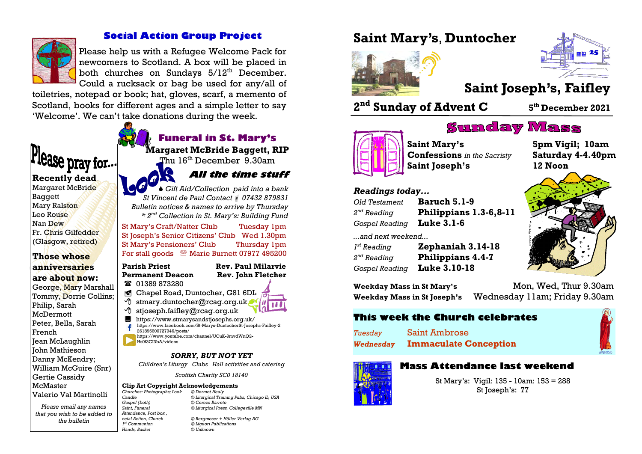

## **Social Action Group Project**

Please help us with a Refugee Welcome Pack for newcomers to Scotland. A box will be placed in both churches on Sundays  $5/12^{th}$  December. Could a rucksack or bag be used for any/all of

toiletries, notepad or book; hat, gloves, scarf, a memento of Scotland, books for different ages and a simple letter to say 'Welcome'. We can't take donations during the week.



*Please email any names that you wish to be added to the bulletin Attendance, Post box ,*  1<sup>st</sup> Communion  $H$ ands, Basket

*Candle © Liturgical Training Pubs, Chicago IL, USA Gospel (both) © Cerezo Barreto Saint, Funeral © Liturgical Press, Collegeville MN*

*ocial Action, Church © Bergmoser + Höller Verlag AG st Communion © Liguori Publications*

# **Saint Mary's**, **Duntocher**





# **Saint Joseph's, Faifley**

**2 nd Sunday of Advent C <sup>5</sup>**

## **th December 2021**



**Saint Mary's 5pm Vigil; 10am Confessions** *in the Sacristy* **Saturday 4-4.40pm Saint Joseph's 12 Noon**

*Readings today...*

| <b>Old Testament</b>      | <b>Baruch 5.1-9</b>      |
|---------------------------|--------------------------|
| $2nd$ Reading             | Philippians 1.3-6,8-11   |
| Gospel Reading Luke 3.1-6 |                          |
| and next weekend          |                          |
| $I^{st}$ Reading          | Zephaniah 3.14-18        |
| $2nd$ Reading             | <b>Philippians 4.4-7</b> |

*Gospel Reading* **Luke 3.10-18**

**Weekday Mass in St Mary's** Mon, Wed, Thur 9.30am **Weekday Mass in St Joseph's** Wednesday 11am; Friday 9.30am

**Sunday Mass** 

## **This week the Church celebrates**

*Tuesday* Saint Ambrose *Wednesday* **Immaculate Conception**



## **Mass Attendance last weekend**

St Mary's: Vigil: 135 - 10am: 153 = 288 St Joseph's: 77